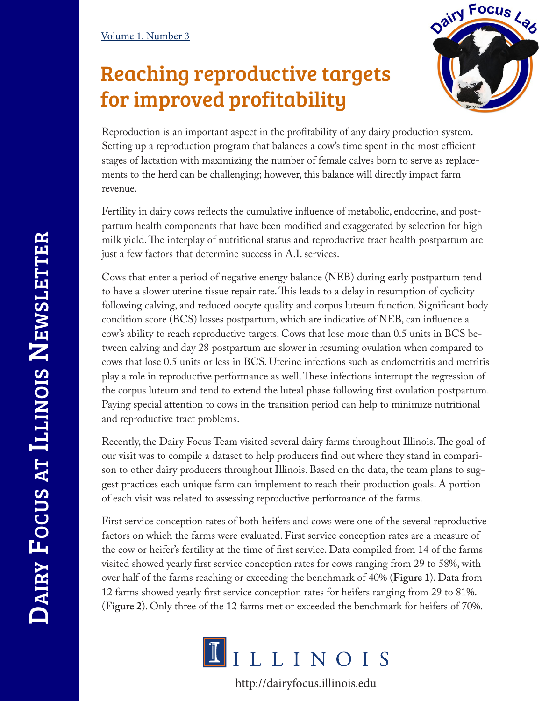## Reaching reproductive targets for improved profitability



Reproduction is an important aspect in the profitability of any dairy production system. Setting up a reproduction program that balances a cow's time spent in the most efficient stages of lactation with maximizing the number of female calves born to serve as replacements to the herd can be challenging; however, this balance will directly impact farm revenue.

Fertility in dairy cows reflects the cumulative influence of metabolic, endocrine, and postpartum health components that have been modified and exaggerated by selection for high milk yield. The interplay of nutritional status and reproductive tract health postpartum are just a few factors that determine success in A.I. services.

Cows that enter a period of negative energy balance (NEB) during early postpartum tend to have a slower uterine tissue repair rate. This leads to a delay in resumption of cyclicity following calving, and reduced oocyte quality and corpus luteum function. Significant body condition score (BCS) losses postpartum, which are indicative of NEB, can influence a cow's ability to reach reproductive targets. Cows that lose more than 0.5 units in BCS between calving and day 28 postpartum are slower in resuming ovulation when compared to cows that lose 0.5 units or less in BCS. Uterine infections such as endometritis and metritis play a role in reproductive performance as well. These infections interrupt the regression of the corpus luteum and tend to extend the luteal phase following first ovulation postpartum. Paying special attention to cows in the transition period can help to minimize nutritional and reproductive tract problems.

Recently, the Dairy Focus Team visited several dairy farms throughout Illinois. The goal of our visit was to compile a dataset to help producers find out where they stand in comparison to other dairy producers throughout Illinois. Based on the data, the team plans to suggest practices each unique farm can implement to reach their production goals. A portion of each visit was related to assessing reproductive performance of the farms.

First service conception rates of both heifers and cows were one of the several reproductive factors on which the farms were evaluated. First service conception rates are a measure of the cow or heifer's fertility at the time of first service. Data compiled from 14 of the farms visited showed yearly first service conception rates for cows ranging from 29 to 58%, with over half of the farms reaching or exceeding the benchmark of 40% (**Figure 1**). Data from 12 farms showed yearly first service conception rates for heifers ranging from 29 to 81%. (**Figure 2**). Only three of the 12 farms met or exceeded the benchmark for heifers of 70%.



http://dairyfocus.illinois.edu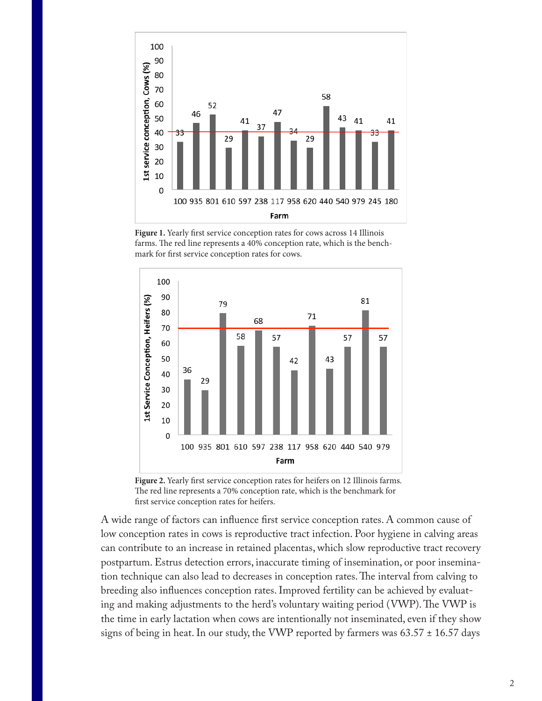

**Figure 1.** Yearly first service conception rates for cows across 14 Illinois farms. The red line represents a 40% conception rate, which is the benchmark for first service conception rates for cows.



**Figure 2.** Yearly first service conception rates for heifers on 12 Illinois farms. The red line represents a 70% conception rate, which is the benchmark for first service conception rates for heifers.

A wide range of factors can influence first service conception rates. A common cause of low conception rates in cows is reproductive tract infection. Poor hygiene in calving areas can contribute to an increase in retained placentas, which slow reproductive tract recovery postpartum. Estrus detection errors, inaccurate timing of insemination, or poor insemination technique can also lead to decreases in conception rates. The interval from calving to breeding also influences conception rates. Improved fertility can be achieved by evaluating and making adjustments to the herd's voluntary waiting period (VWP). The VWP is the time in early lactation when cows are intentionally not inseminated, even if they show signs of being in heat. In our study, the VWP reported by farmers was  $63.57 \pm 16.57$  days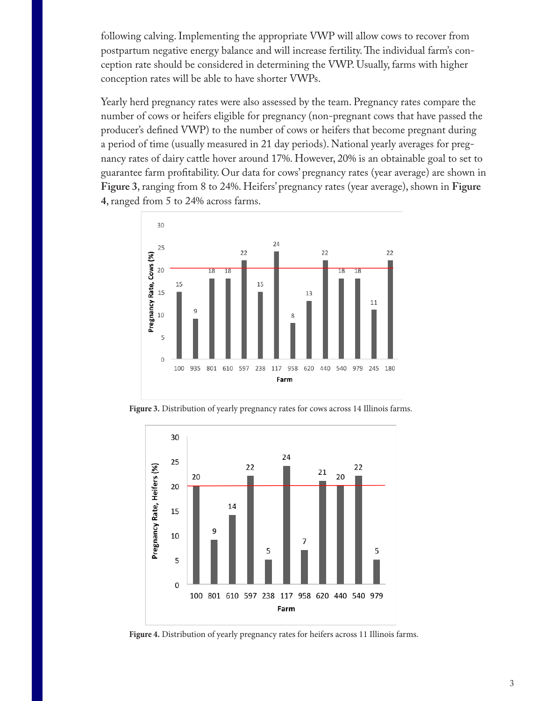following calving. Implementing the appropriate VWP will allow cows to recover from postpartum negative energy balance and will increase fertility. The individual farm's conception rate should be considered in determining the VWP. Usually, farms with higher conception rates will be able to have shorter VWPs.

Yearly herd pregnancy rates were also assessed by the team. Pregnancy rates compare the number of cows or heifers eligible for pregnancy (non-pregnant cows that have passed the producer's defined VWP) to the number of cows or heifers that become pregnant during a period of time (usually measured in 21 day periods). National yearly averages for pregnancy rates of dairy cattle hover around 17%. However, 20% is an obtainable goal to set to guarantee farm profitability. Our data for cows' pregnancy rates (year average) are shown in **Figure 3**, ranging from 8 to 24%. Heifers' pregnancy rates (year average), shown in **Figure 4**, ranged from 5 to 24% across farms.



**Figure 3.** Distribution of yearly pregnancy rates for cows across 14 Illinois farms.



**Figure 4.** Distribution of yearly pregnancy rates for heifers across 11 Illinois farms.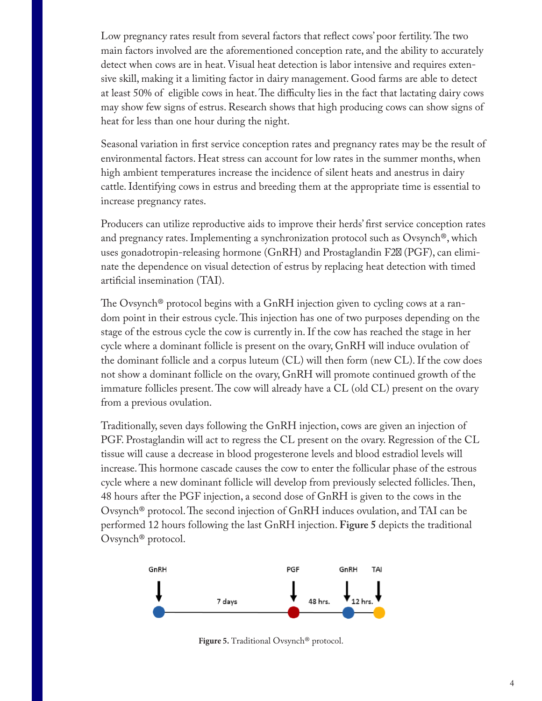Low pregnancy rates result from several factors that reflect cows' poor fertility. The two main factors involved are the aforementioned conception rate, and the ability to accurately detect when cows are in heat. Visual heat detection is labor intensive and requires extensive skill, making it a limiting factor in dairy management. Good farms are able to detect at least 50% of eligible cows in heat. The difficulty lies in the fact that lactating dairy cows may show few signs of estrus. Research shows that high producing cows can show signs of heat for less than one hour during the night.

Seasonal variation in first service conception rates and pregnancy rates may be the result of environmental factors. Heat stress can account for low rates in the summer months, when high ambient temperatures increase the incidence of silent heats and anestrus in dairy cattle. Identifying cows in estrus and breeding them at the appropriate time is essential to increase pregnancy rates.

Producers can utilize reproductive aids to improve their herds' first service conception rates and pregnancy rates. Implementing a synchronization protocol such as Ovsynch®, which uses gonadotropin-releasing hormone (GnRH) and Prostaglandin F2  $(PGF)$ , can eliminate the dependence on visual detection of estrus by replacing heat detection with timed artificial insemination (TAI).

The Ovsynch® protocol begins with a GnRH injection given to cycling cows at a random point in their estrous cycle. This injection has one of two purposes depending on the stage of the estrous cycle the cow is currently in. If the cow has reached the stage in her cycle where a dominant follicle is present on the ovary, GnRH will induce ovulation of the dominant follicle and a corpus luteum (CL) will then form (new CL). If the cow does not show a dominant follicle on the ovary, GnRH will promote continued growth of the immature follicles present. The cow will already have a CL (old CL) present on the ovary from a previous ovulation.

Traditionally, seven days following the GnRH injection, cows are given an injection of PGF. Prostaglandin will act to regress the CL present on the ovary. Regression of the CL tissue will cause a decrease in blood progesterone levels and blood estradiol levels will increase. This hormone cascade causes the cow to enter the follicular phase of the estrous cycle where a new dominant follicle will develop from previously selected follicles. Then, 48 hours after the PGF injection, a second dose of GnRH is given to the cows in the Ovsynch® protocol. The second injection of GnRH induces ovulation, and TAI can be performed 12 hours following the last GnRH injection. **Figure 5** depicts the traditional Ovsynch® protocol.



**Figure 5.** Traditional Ovsynch® protocol.